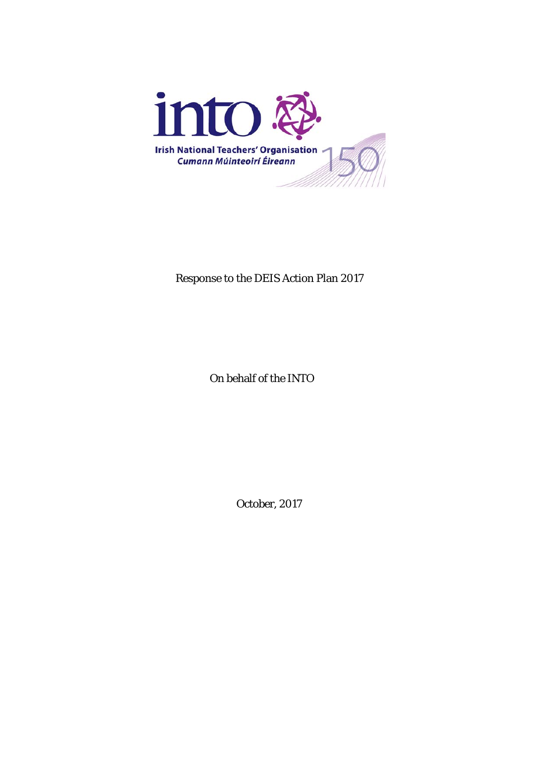

Response to the DEIS Action Plan 2017

On behalf of the INTO

October, 2017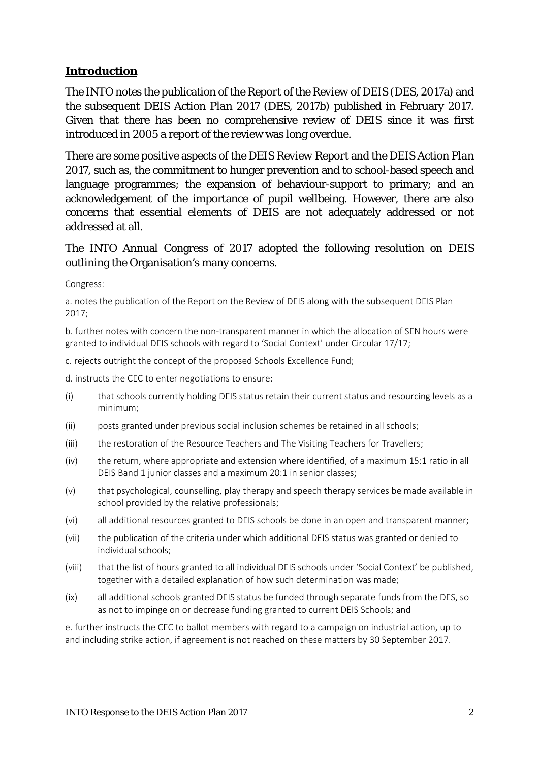### **Introduction**

The INTO notes the publication of the *Report of the Review of DEIS* (DES, 2017a) and the subsequent *DEIS Action Plan 2017* (DES, 2017b) published in February 2017. Given that there has been no comprehensive review of DEIS since it was first introduced in 2005 a report of the review was long overdue.

There are some positive aspects of the *DEIS Review Report* and the *DEIS Action Plan 2017*, such as, the commitment to hunger prevention and to school-based speech and language programmes; the expansion of behaviour-support to primary; and an acknowledgement of the importance of pupil wellbeing. However, there are also concerns that essential elements of DEIS are not adequately addressed or not addressed at all.

#### The INTO Annual Congress of 2017 adopted the following resolution on DEIS outlining the Organisation's many concerns.

Congress:

a. notes the publication of the Report on the Review of DEIS along with the subsequent DEIS Plan 2017;

b. further notes with concern the non-transparent manner in which the allocation of SEN hours were granted to individual DEIS schools with regard to 'Social Context' under Circular 17/17;

c. rejects outright the concept of the proposed Schools Excellence Fund;

d. instructs the CEC to enter negotiations to ensure:

- (i) that schools currently holding DEIS status retain their current status and resourcing levels as a minimum;
- (ii) posts granted under previous social inclusion schemes be retained in all schools;
- (iii) the restoration of the Resource Teachers and The Visiting Teachers for Travellers;
- (iv) the return, where appropriate and extension where identified, of a maximum 15:1 ratio in all DEIS Band 1 junior classes and a maximum 20:1 in senior classes;
- (v) that psychological, counselling, play therapy and speech therapy services be made available in school provided by the relative professionals;
- (vi) all additional resources granted to DEIS schools be done in an open and transparent manner;
- (vii) the publication of the criteria under which additional DEIS status was granted or denied to individual schools;
- (viii) that the list of hours granted to all individual DEIS schools under 'Social Context' be published, together with a detailed explanation of how such determination was made;
- (ix) all additional schools granted DEIS status be funded through separate funds from the DES, so as not to impinge on or decrease funding granted to current DEIS Schools; and

e. further instructs the CEC to ballot members with regard to a campaign on industrial action, up to and including strike action, if agreement is not reached on these matters by 30 September 2017.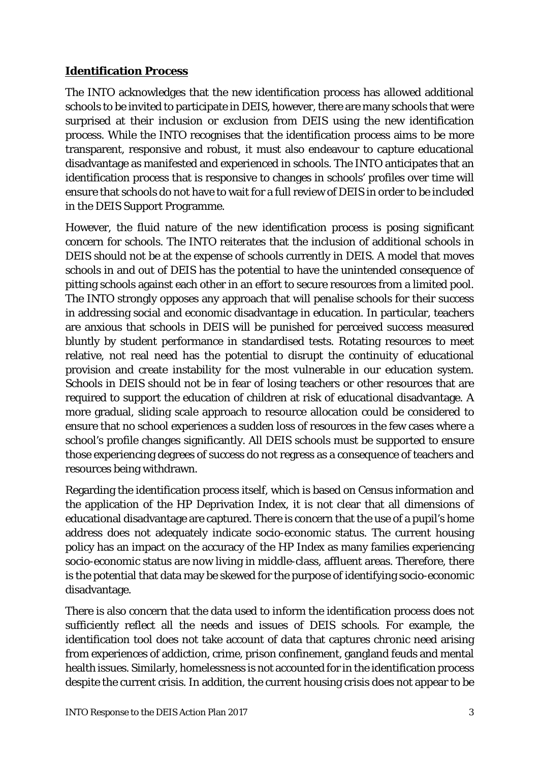### **Identification Process**

The INTO acknowledges that the new identification process has allowed additional schools to be invited to participate in DEIS, however, there are many schools that were surprised at their inclusion or exclusion from DEIS using the new identification process. While the INTO recognises that the identification process aims to be more transparent, responsive and robust, it must also endeavour to capture educational disadvantage as manifested and experienced in schools. The INTO anticipates that an identification process that is responsive to changes in schools' profiles over time will ensure that schools do not have to wait for a full review of DEIS in order to be included in the DEIS Support Programme.

However, the fluid nature of the new identification process is posing significant concern for schools. The INTO reiterates that the inclusion of additional schools in DEIS should not be at the expense of schools currently in DEIS. A model that moves schools in and out of DEIS has the potential to have the unintended consequence of pitting schools against each other in an effort to secure resources from a limited pool. The INTO strongly opposes any approach that will penalise schools for their success in addressing social and economic disadvantage in education. In particular, teachers are anxious that schools in DEIS will be punished for perceived success measured bluntly by student performance in standardised tests. Rotating resources to meet relative, not real need has the potential to disrupt the continuity of educational provision and create instability for the most vulnerable in our education system. Schools in DEIS should not be in fear of losing teachers or other resources that are required to support the education of children at risk of educational disadvantage. A more gradual, sliding scale approach to resource allocation could be considered to ensure that no school experiences a sudden loss of resources in the few cases where a school's profile changes significantly. All DEIS schools must be supported to ensure those experiencing degrees of success do not regress as a consequence of teachers and resources being withdrawn.

Regarding the identification process itself, which is based on Census information and the application of the HP Deprivation Index, it is not clear that all dimensions of educational disadvantage are captured. There is concern that the use of a pupil's home address does not adequately indicate socio-economic status. The current housing policy has an impact on the accuracy of the HP Index as many families experiencing socio-economic status are now living in middle-class, affluent areas. Therefore, there is the potential that data may be skewed for the purpose of identifying socio-economic disadvantage.

There is also concern that the data used to inform the identification process does not sufficiently reflect all the needs and issues of DEIS schools. For example, the identification tool does not take account of data that captures chronic need arising from experiences of addiction, crime, prison confinement, gangland feuds and mental health issues. Similarly, homelessness is not accounted for in the identification process despite the current crisis. In addition, the current housing crisis does not appear to be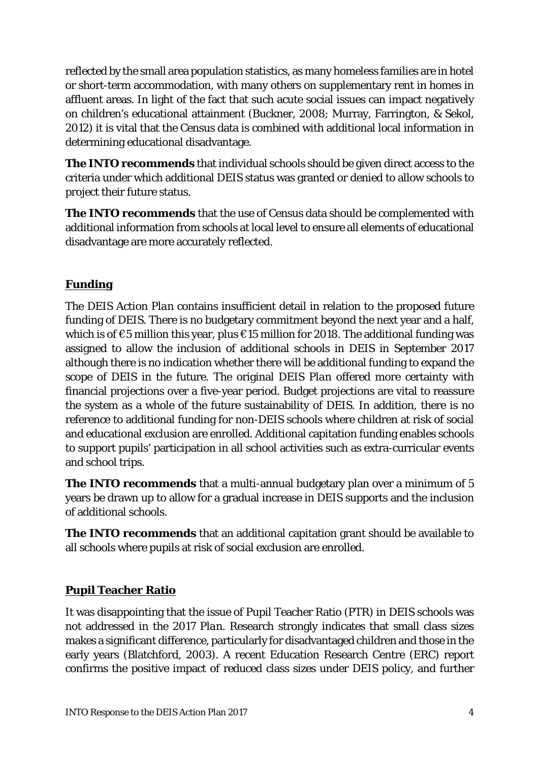reflected by the small area population statistics, as many homeless families are in hotel or short-term accommodation, with many others on supplementary rent in homes in affluent areas. In light of the fact that such acute social issues can impact negatively on children's educational attainment (Buckner, 2008; Murray, Farrington, & Sekol, 2012) it is vital that the Census data is combined with additional local information in determining educational disadvantage.

**The INTO recommends** that individual schools should be given direct access to the criteria under which additional DEIS status was granted or denied to allow schools to project their future status.

**The INTO recommends** that the use of Census data should be complemented with additional information from schools at local level to ensure all elements of educational disadvantage are more accurately reflected.

## **Funding**

The *DEIS Action Plan* contains insufficient detail in relation to the proposed future funding of DEIS. There is no budgetary commitment beyond the next year and a half, which is of  $\epsilon$ 5 million this year, plus  $\epsilon$ 15 million for 2018. The additional funding was assigned to allow the inclusion of additional schools in DEIS in September 2017 although there is no indication whether there will be additional funding to expand the scope of DEIS in the future. The original *DEIS Plan* offered more certainty with financial projections over a five-year period. Budget projections are vital to reassure the system as a whole of the future sustainability of DEIS. In addition, there is no reference to additional funding for non-DEIS schools where children at risk of social and educational exclusion are enrolled. Additional capitation funding enables schools to support pupils' participation in all school activities such as extra-curricular events and school trips.

**The INTO recommends** that a multi-annual budgetary plan over a minimum of 5 years be drawn up to allow for a gradual increase in DEIS supports and the inclusion of additional schools.

**The INTO recommends** that an additional capitation grant should be available to all schools where pupils at risk of social exclusion are enrolled.

## **Pupil Teacher Ratio**

It was disappointing that the issue of Pupil Teacher Ratio (PTR) in DEIS schools was not addressed in the *2017 Plan*. Research strongly indicates that small class sizes makes a significant difference, particularly for disadvantaged children and those in the early years (Blatchford, 2003). A recent Education Research Centre (ERC) report confirms the positive impact of reduced class sizes under DEIS policy, and further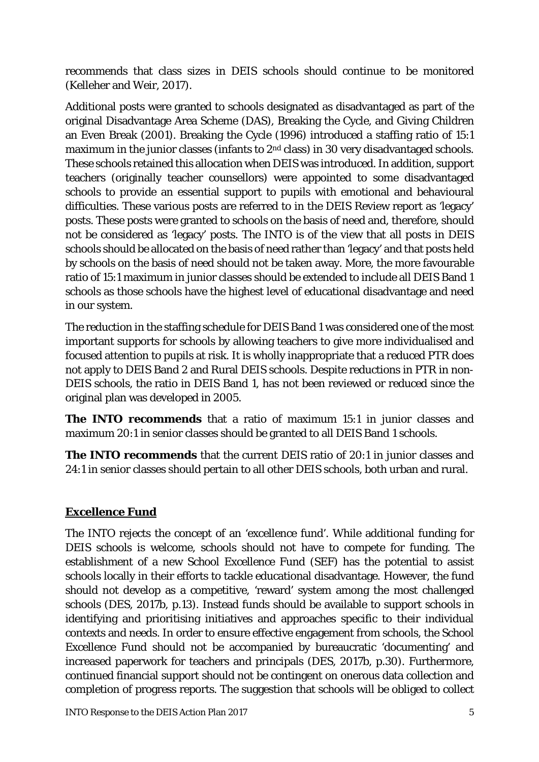recommends that class sizes in DEIS schools should continue to be monitored (Kelleher and Weir, 2017).

Additional posts were granted to schools designated as disadvantaged as part of the original Disadvantage Area Scheme (DAS), Breaking the Cycle, and Giving Children an Even Break (2001). Breaking the Cycle (1996) introduced a staffing ratio of 15:1 maximum in the junior classes (infants to 2<sup>nd</sup> class) in 30 very disadvantaged schools. These schools retained this allocation when DEIS was introduced. In addition, support teachers (originally teacher counsellors) were appointed to some disadvantaged schools to provide an essential support to pupils with emotional and behavioural difficulties. These various posts are referred to in the DEIS Review report as 'legacy' posts. These posts were granted to schools on the basis of need and, therefore, should not be considered as 'legacy' posts. The INTO is of the view that all posts in DEIS schools should be allocated on the basis of need rather than 'legacy' and that posts held by schools on the basis of need should not be taken away. More, the more favourable ratio of 15:1 maximum in junior classes should be extended to include all DEIS Band 1 schools as those schools have the highest level of educational disadvantage and need in our system.

The reduction in the staffing schedule for DEIS Band 1 was considered one of the most important supports for schools by allowing teachers to give more individualised and focused attention to pupils at risk. It is wholly inappropriate that a reduced PTR does not apply to DEIS Band 2 and Rural DEIS schools. Despite reductions in PTR in non-DEIS schools, the ratio in DEIS Band 1, has not been reviewed or reduced since the original plan was developed in 2005.

**The INTO recommends** that a ratio of maximum 15:1 in junior classes and maximum 20:1 in senior classes should be granted to all DEIS Band 1 schools.

**The INTO recommends** that the current DEIS ratio of 20:1 in junior classes and 24:1 in senior classes should pertain to all other DEIS schools, both urban and rural.

# **Excellence Fund**

The INTO rejects the concept of an 'excellence fund'. While additional funding for DEIS schools is welcome, schools should not have to compete for funding. The establishment of a new *School Excellence Fund (SEF)* has the potential to assist schools locally in their efforts to tackle educational disadvantage. However, the fund should not develop as a competitive, 'reward' system among the most challenged schools (DES, 2017b, p.13). Instead funds should be available to support schools in identifying and prioritising initiatives and approaches specific to their individual contexts and needs. In order to ensure effective engagement from schools, the *School Excellence Fund* should not be accompanied by bureaucratic 'documenting' and increased paperwork for teachers and principals (DES, 2017b, p.30). Furthermore, continued financial support should not be contingent on onerous data collection and completion of progress reports. The suggestion that schools will be obliged to collect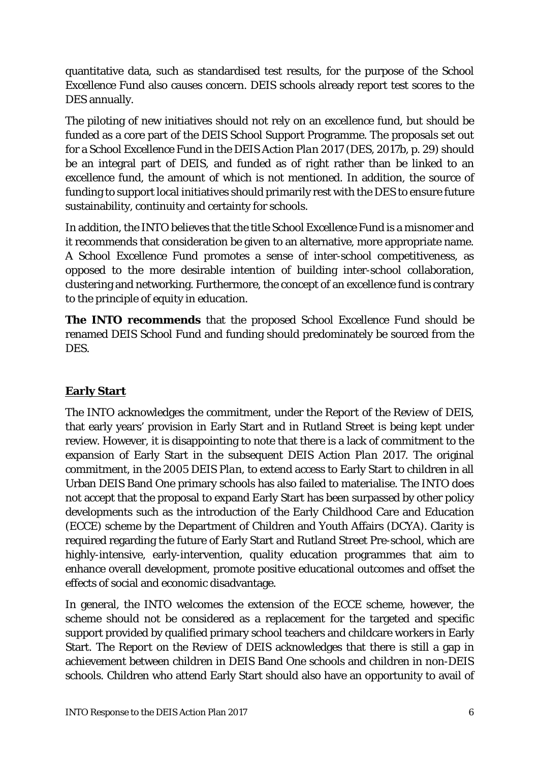quantitative data, such as standardised test results, for the purpose of the *School Excellence Fund* also causes concern. DEIS schools already report test scores to the DES annually.

The piloting of new initiatives should not rely on an excellence fund, but should be funded as a core part of the DEIS School Support Programme. The proposals set out for a *School Excellence Fund* in the *DEIS Action Plan 2017* (DES, 2017b, p. 29) should be an integral part of DEIS, and funded as of right rather than be linked to an excellence fund, the amount of which is not mentioned. In addition, the source of funding to support local initiatives should primarily rest with the DES to ensure future sustainability, continuity and certainty for schools.

In addition, the INTO believes that the title *School Excellence Fund* is a misnomer and it recommends that consideration be given to an alternative, more appropriate name. A *School Excellence Fund* promotes a sense of inter-school competitiveness, as opposed to the more desirable intention of building inter-school collaboration, clustering and networking. Furthermore, the concept of an excellence fund is contrary to the principle of equity in education.

**The INTO recommends** that the proposed *School Excellence Fund* should be renamed *DEIS School Fund* and funding should predominately be sourced from the DES.

## **Early Start**

The INTO acknowledges the commitment, under the *Report of the Review of DEIS,* that early years' provision in Early Start and in Rutland Street is being kept under review. However, it is disappointing to note that there is a lack of commitment to the expansion of Early Start in the subsequent *DEIS Action Plan 2017*. The original commitment, in the 2005 *DEIS Plan*, to extend access to Early Start to children in all Urban DEIS Band One primary schools has also failed to materialise. The INTO does not accept that the proposal to expand Early Start has been surpassed by other policy developments such as the introduction of the Early Childhood Care and Education (ECCE) scheme by the Department of Children and Youth Affairs (DCYA). Clarity is required regarding the future of Early Start and Rutland Street Pre-school, which are highly-intensive, early-intervention, quality education programmes that aim to enhance overall development, promote positive educational outcomes and offset the effects of social and economic disadvantage.

In general, the INTO welcomes the extension of the ECCE scheme, however, the scheme should not be considered as a replacement for the targeted and specific support provided by qualified primary school teachers and childcare workers in Early Start. The *Report on the Review of DEIS* acknowledges that there is still a gap in achievement between children in DEIS Band One schools and children in non-DEIS schools. Children who attend Early Start should also have an opportunity to avail of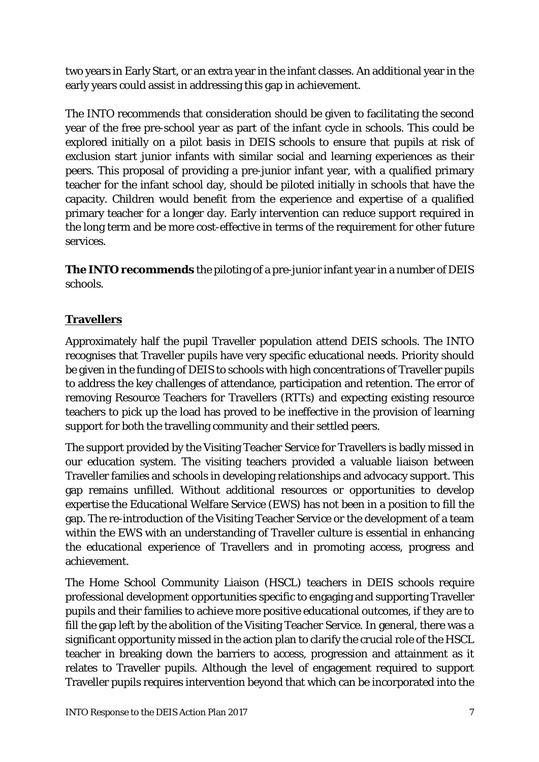two years in Early Start, or an extra year in the infant classes. An additional year in the early years could assist in addressing this gap in achievement.

The INTO recommends that consideration should be given to facilitating the second year of the free pre-school year as part of the infant cycle in schools. This could be explored initially on a pilot basis in DEIS schools to ensure that pupils at risk of exclusion start junior infants with similar social and learning experiences as their peers. This proposal of providing a pre-junior infant year, with a qualified primary teacher for the infant school day, should be piloted initially in schools that have the capacity. Children would benefit from the experience and expertise of a qualified primary teacher for a longer day. Early intervention can reduce support required in the long term and be more cost-effective in terms of the requirement for other future services.

**The INTO recommends** the piloting of a pre-junior infant year in a number of DEIS schools.

## **Travellers**

Approximately half the pupil Traveller population attend DEIS schools. The INTO recognises that Traveller pupils have very specific educational needs. Priority should be given in the funding of DEIS to schools with high concentrations of Traveller pupils to address the key challenges of attendance, participation and retention. The error of removing Resource Teachers for Travellers (RTTs) and expecting existing resource teachers to pick up the load has proved to be ineffective in the provision of learning support for both the travelling community and their settled peers.

The support provided by the Visiting Teacher Service for Travellers is badly missed in our education system. The visiting teachers provided a valuable liaison between Traveller families and schools in developing relationships and advocacy support. This gap remains unfilled. Without additional resources or opportunities to develop expertise the Educational Welfare Service (EWS) has not been in a position to fill the gap. The re-introduction of the Visiting Teacher Service or the development of a team within the EWS with an understanding of Traveller culture is essential in enhancing the educational experience of Travellers and in promoting access, progress and achievement.

The Home School Community Liaison (HSCL) teachers in DEIS schools require professional development opportunities specific to engaging and supporting Traveller pupils and their families to achieve more positive educational outcomes, if they are to fill the gap left by the abolition of the Visiting Teacher Service. In general, there was a significant opportunity missed in the action plan to clarify the crucial role of the HSCL teacher in breaking down the barriers to access, progression and attainment as it relates to Traveller pupils. Although the level of engagement required to support Traveller pupils requires intervention beyond that which can be incorporated into the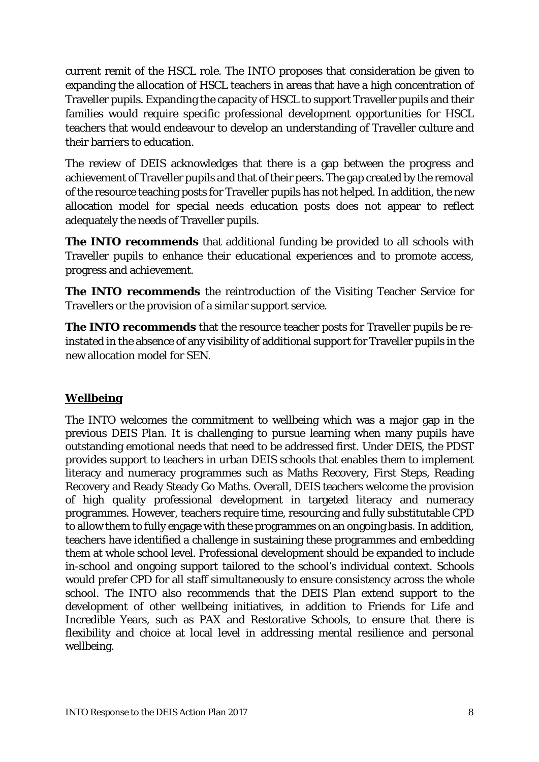current remit of the HSCL role. The INTO proposes that consideration be given to expanding the allocation of HSCL teachers in areas that have a high concentration of Traveller pupils. Expanding the capacity of HSCL to support Traveller pupils and their families would require specific professional development opportunities for HSCL teachers that would endeavour to develop an understanding of Traveller culture and their barriers to education.

The review of DEIS acknowledges that there is a gap between the progress and achievement of Traveller pupils and that of their peers. The gap created by the removal of the resource teaching posts for Traveller pupils has not helped. In addition, the new allocation model for special needs education posts does not appear to reflect adequately the needs of Traveller pupils.

**The INTO recommends** that additional funding be provided to all schools with Traveller pupils to enhance their educational experiences and to promote access, progress and achievement.

**The INTO recommends** the reintroduction of the Visiting Teacher Service for Travellers or the provision of a similar support service.

**The INTO recommends** that the resource teacher posts for Traveller pupils be reinstated in the absence of any visibility of additional support for Traveller pupils in the new allocation model for SEN.

## **Wellbeing**

The INTO welcomes the commitment to wellbeing which was a major gap in the previous *DEIS Plan*. It is challenging to pursue learning when many pupils have outstanding emotional needs that need to be addressed first. Under DEIS, the PDST provides support to teachers in urban DEIS schools that enables them to implement literacy and numeracy programmes such as Maths Recovery, First Steps, Reading Recovery and Ready Steady Go Maths. Overall, DEIS teachers welcome the provision of high quality professional development in targeted literacy and numeracy programmes. However, teachers require time, resourcing and fully substitutable CPD to allow them to fully engage with these programmes on an ongoing basis. In addition, teachers have identified a challenge in sustaining these programmes and embedding them at whole school level. Professional development should be expanded to include in-school and ongoing support tailored to the school's individual context. Schools would prefer CPD for all staff simultaneously to ensure consistency across the whole school. The INTO also recommends that the *DEIS Plan* extend support to the development of other wellbeing initiatives, in addition to Friends for Life and Incredible Years, such as PAX and Restorative Schools, to ensure that there is flexibility and choice at local level in addressing mental resilience and personal wellbeing.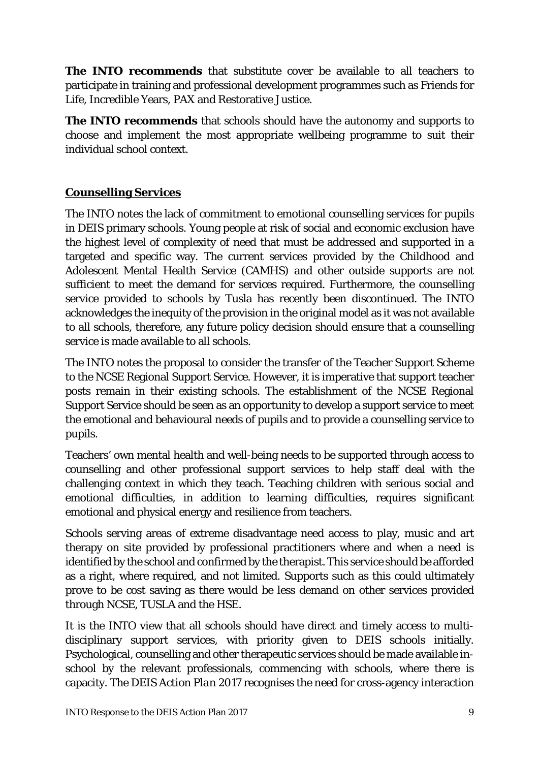**The INTO recommends** that substitute cover be available to all teachers to participate in training and professional development programmes such as Friends for Life, Incredible Years, PAX and Restorative Justice.

**The INTO recommends** that schools should have the autonomy and supports to choose and implement the most appropriate wellbeing programme to suit their individual school context.

## **Counselling Services**

The INTO notes the lack of commitment to emotional counselling services for pupils in DEIS primary schools. Young people at risk of social and economic exclusion have the highest level of complexity of need that must be addressed and supported in a targeted and specific way. The current services provided by the Childhood and Adolescent Mental Health Service (CAMHS) and other outside supports are not sufficient to meet the demand for services required. Furthermore, the counselling service provided to schools by Tusla has recently been discontinued. The INTO acknowledges the inequity of the provision in the original model as it was not available to all schools, therefore, any future policy decision should ensure that a counselling service is made available to all schools.

The INTO notes the proposal to consider the transfer of the Teacher Support Scheme to the NCSE Regional Support Service. However, it is imperative that support teacher posts remain in their existing schools. The establishment of the NCSE Regional Support Service should be seen as an opportunity to develop a support service to meet the emotional and behavioural needs of pupils and to provide a counselling service to pupils.

Teachers' own mental health and well-being needs to be supported through access to counselling and other professional support services to help staff deal with the challenging context in which they teach. Teaching children with serious social and emotional difficulties, in addition to learning difficulties, requires significant emotional and physical energy and resilience from teachers.

Schools serving areas of extreme disadvantage need access to play, music and art therapy on site provided by professional practitioners where and when a need is identified by the school and confirmed by the therapist. This service should be afforded as a right, where required, and not limited. Supports such as this could ultimately prove to be cost saving as there would be less demand on other services provided through NCSE, TUSLA and the HSE.

It is the INTO view that all schools should have direct and timely access to multidisciplinary support services, with priority given to DEIS schools initially. Psychological, counselling and other therapeutic services should be made available inschool by the relevant professionals, commencing with schools, where there is capacity. The *DEIS Action Plan 2017* recognises the need for cross-agency interaction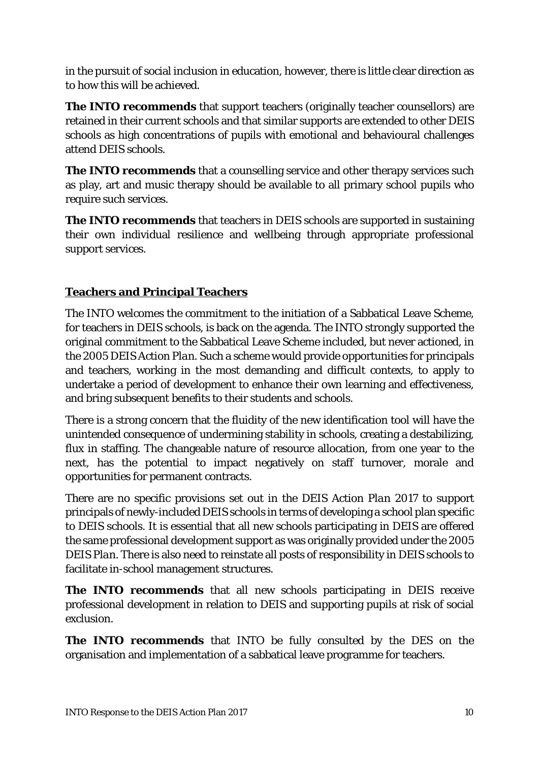in the pursuit of social inclusion in education, however, there is little clear direction as to how this will be achieved.

**The INTO recommends** that support teachers (originally teacher counsellors) are retained in their current schools and that similar supports are extended to other DEIS schools as high concentrations of pupils with emotional and behavioural challenges attend DEIS schools.

**The INTO recommends** that a counselling service and other therapy services such as play, art and music therapy should be available to all primary school pupils who require such services.

**The INTO recommends** that teachers in DEIS schools are supported in sustaining their own individual resilience and wellbeing through appropriate professional support services.

## **Teachers and Principal Teachers**

The INTO welcomes the commitment to the initiation of a Sabbatical Leave Scheme, for teachers in DEIS schools, is back on the agenda. The INTO strongly supported the original commitment to the Sabbatical Leave Scheme included, but never actioned, in the *2005 DEIS Action Plan*. Such a scheme would provide opportunities for principals and teachers, working in the most demanding and difficult contexts, to apply to undertake a period of development to enhance their own learning and effectiveness, and bring subsequent benefits to their students and schools.

There is a strong concern that the fluidity of the new identification tool will have the unintended consequence of undermining stability in schools, creating a destabilizing, flux in staffing. The changeable nature of resource allocation, from one year to the next, has the potential to impact negatively on staff turnover, morale and opportunities for permanent contracts.

There are no specific provisions set out in the *DEIS Action Plan 2017* to support principals of newly-included DEIS schools in terms of developing a school plan specific to DEIS schools. It is essential that all new schools participating in DEIS are offered the same professional development support as was originally provided under the *2005 DEIS Plan*. There is also need to reinstate all posts of responsibility in DEIS schools to facilitate in-school management structures.

**The INTO recommends** that all new schools participating in DEIS receive professional development in relation to DEIS and supporting pupils at risk of social exclusion.

**The INTO recommends** that INTO be fully consulted by the DES on the organisation and implementation of a sabbatical leave programme for teachers.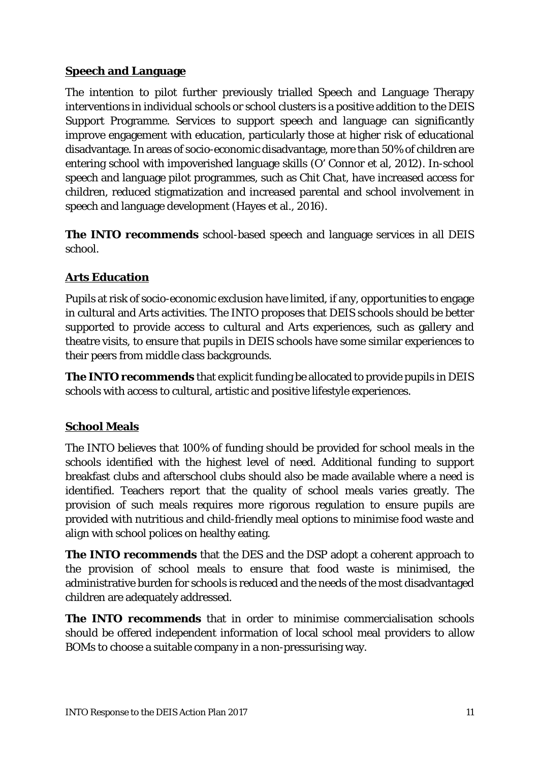## **Speech and Language**

The intention to pilot further previously trialled Speech and Language Therapy interventions in individual schools or school clusters is a positive addition to the DEIS Support Programme. Services to support speech and language can significantly improve engagement with education, particularly those at higher risk of educational disadvantage. In areas of socio-economic disadvantage, more than 50% of children are entering school with impoverished language skills (O' Connor et al, 2012). In-school speech and language pilot programmes, such as *Chit Chat*, have increased access for children, reduced stigmatization and increased parental and school involvement in speech and language development (Hayes et al., 2016).

**The INTO recommends** school-based speech and language services in all DEIS school.

## **Arts Education**

Pupils at risk of socio-economic exclusion have limited, if any, opportunities to engage in cultural and Arts activities. The INTO proposes that DEIS schools should be better supported to provide access to cultural and Arts experiences, such as gallery and theatre visits, to ensure that pupils in DEIS schools have some similar experiences to their peers from middle class backgrounds.

**The INTO recommends** that explicit funding be allocated to provide pupils in DEIS schools with access to cultural, artistic and positive lifestyle experiences.

## **School Meals**

The INTO believes that 100% of funding should be provided for school meals in the schools identified with the highest level of need. Additional funding to support breakfast clubs and afterschool clubs should also be made available where a need is identified. Teachers report that the quality of school meals varies greatly. The provision of such meals requires more rigorous regulation to ensure pupils are provided with nutritious and child-friendly meal options to minimise food waste and align with school polices on healthy eating.

**The INTO recommends** that the DES and the DSP adopt a coherent approach to the provision of school meals to ensure that food waste is minimised, the administrative burden for schools is reduced and the needs of the most disadvantaged children are adequately addressed.

**The INTO recommends** that in order to minimise commercialisation schools should be offered independent information of local school meal providers to allow BOMs to choose a suitable company in a non-pressurising way.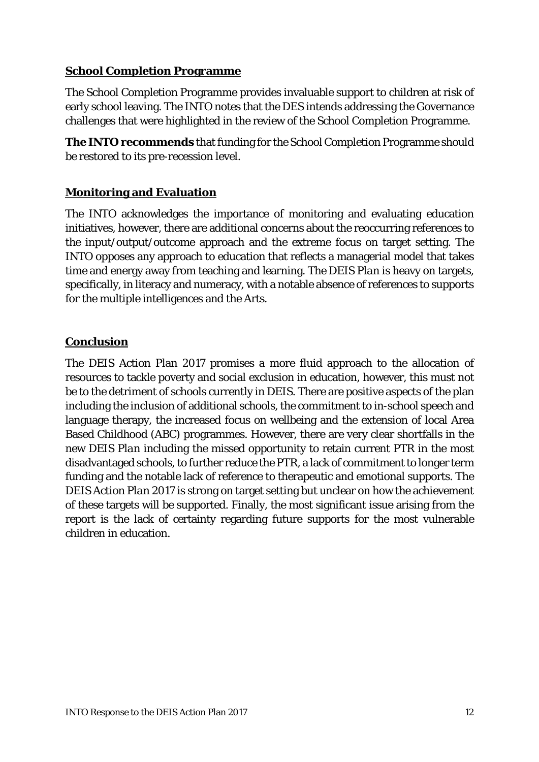#### **School Completion Programme**

The School Completion Programme provides invaluable support to children at risk of early school leaving. The INTO notes that the DES intends addressing the Governance challenges that were highlighted in the review of the School Completion Programme.

**The INTO recommends** that funding for the School Completion Programme should be restored to its pre-recession level.

## **Monitoring and Evaluation**

The INTO acknowledges the importance of monitoring and evaluating education initiatives, however, there are additional concerns about the reoccurring references to the input/output/outcome approach and the extreme focus on target setting. The INTO opposes any approach to education that reflects a managerial model that takes time and energy away from teaching and learning. The *DEIS Plan* is heavy on targets, specifically, in literacy and numeracy, with a notable absence of references to supports for the multiple intelligences and the Arts.

### **Conclusion**

The DEIS Action Plan 2017 promises a more fluid approach to the allocation of resources to tackle poverty and social exclusion in education, however, this must not be to the detriment of schools currently in DEIS. There are positive aspects of the plan including the inclusion of additional schools, the commitment to in-school speech and language therapy, the increased focus on wellbeing and the extension of local Area Based Childhood (ABC) programmes. However, there are very clear shortfalls in the new *DEIS Plan* including the missed opportunity to retain current PTR in the most disadvantaged schools, to further reduce the PTR, a lack of commitment to longer term funding and the notable lack of reference to therapeutic and emotional supports. The *DEIS Action Plan 2017* is strong on target setting but unclear on how the achievement of these targets will be supported. Finally, the most significant issue arising from the report is the lack of certainty regarding future supports for the most vulnerable children in education.